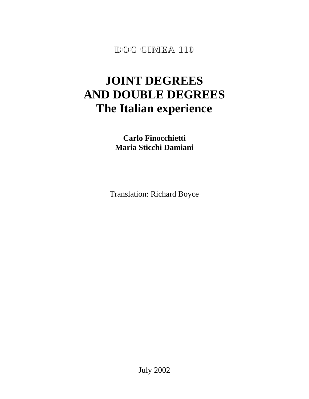**DOC CIMEA 110**

# **JOINT DEGREES AND DOUBLE DEGREES The Italian experience**

**Carlo Finocchietti Maria Sticchi Damiani**

Translation: Richard Boyce

July 2002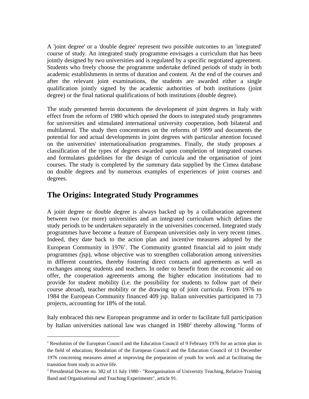A 'joint degree' or a 'double degree' represent two possible outcomes to an 'integrated' course of study. An integrated study programme envisages a curriculum that has been jointly designed by two universities and is regulated by a specific negotiated agreement. Students who freely choose the programme undertake defined periods of study in both academic establishments in terms of duration and content. At the end of the courses and after the relevant joint examinations, the students are awarded either a single qualification jointly signed by the academic authorities of both institutions (joint degree) or the final national qualifications of both institutions (double degree).

The study presented herein documents the development of joint degrees in Italy with effect from the reform of 1980 which opened the doors to integrated study programmes for universities and stimulated international university cooperation, both bilateral and multilateral. The study then concentrates on the reforms of 1999 and documents the potential for and actual developments in joint degrees with particular attention focused on the universities' internationalisation programmes. Finally, the study proposes a classification of the types of degrees awarded upon completion of integrated courses and formulates guidelines for the design of curricula and the organisation of joint courses. The study is completed by the summary data supplied by the Cimea database on double degrees and by numerous examples of experiences of joint courses and degrees.

### **The Origins: Integrated Study Programmes**

 $\overline{a}$ 

A joint degree or double degree is always backed up by a collaboration agreement between two (or more) universities and an integrated curriculum which defines the study periods to be undertaken separately in the universities concerned. Integrated study programmes have become a feature of European universities only in very recent times. Indeed, they date back to the action plan and incentive measures adopted by the European Community in  $1976<sup>1</sup>$ . The Community granted financial aid to joint study programmes *(*jsp), whose objective was to strengthen collaboration among universities in different countries, thereby fostering direct contacts and agreements as well as exchanges among students and teachers. In order to benefit from the economic aid on offer, the cooperation agreements among the higher education institutions had to provide for student mobility (i.e. the possibility for students to follow part of their course abroad), teacher mobility or the drawing up of joint curricula. From 1976 to 1984 the European Community financed 409 jsp. Italian universities participated in 73 projects, accounting for 18% of the total.

Italy embraced this new European programme and in order to facilitate full participation by Italian universities national law was changed in  $1980<sup>2</sup>$  thereby allowing "forms of

<sup>&</sup>lt;sup>1</sup> Resolution of the European Council and the Education Council of 9 February 1976 for an action plan in the field of education; Resolution of the European Council and the Education Council of 13 December 1976 concerning measures aimed at improving the preparation of youth for work and at facilitating the transition from study to active life.

<sup>&</sup>lt;sup>2</sup> Presidential Decree no. 382 of 11 July 1980 - "Reorganisation of University Teaching, Relative Training Band and Organisational and Teaching Experiments", article 91.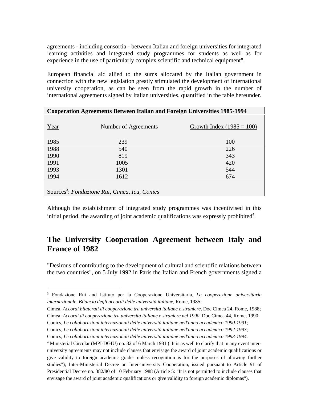agreements - including consortia - between Italian and foreign universities for integrated learning activities and integrated study programmes for students as well as for experience in the use of particularly complex scientific and technical equipment".

European financial aid allied to the sums allocated by the Italian government in connection with the new legislation greatly stimulated the development of international university cooperation, as can be seen from the rapid growth in the number of international agreements signed by Italian universities, quantified in the table hereunder.

| <b>Cooperation Agreements Between Italian and Foreign Universities 1985-1994</b> |                      |                             |  |
|----------------------------------------------------------------------------------|----------------------|-----------------------------|--|
|                                                                                  |                      |                             |  |
| Year                                                                             | Number of Agreements | Growth Index $(1985 = 100)$ |  |
| 1985                                                                             | 239                  | 100                         |  |
|                                                                                  |                      |                             |  |
| 1988                                                                             | 540                  | 226                         |  |
| 1990                                                                             | 819                  | 343                         |  |
| 1991                                                                             | 1005                 | 420                         |  |
| 1993                                                                             | 1301                 | 544                         |  |
| 1994                                                                             | 1612                 | 674                         |  |
|                                                                                  |                      |                             |  |
| Sources <sup>3</sup> : Fondazione Rui, Cimea, Icu, Conics                        |                      |                             |  |

Although the establishment of integrated study programmes was incentivised in this initial period, the awarding of joint academic qualifications was expressly prohibited $4$ .

# **The University Cooperation Agreement between Italy and France of 1982**

"Desirous of contributing to the development of cultural and scientific relations between the two countries", on 5 July 1992 in Paris the Italian and French governments signed a

Conics, *Le collaborazioni internazionali delle università italiane nell'anno accademico 1990-1991*;

 $\overline{a}$ 

Conics, *Le collaborazioni internazionali delle università italiane nell'anno accademico 1992-1993*;

<sup>3</sup> Fondazione Rui and Istituto per la Cooperazione Universitaria, *La cooperazione universitaria internazionale. Bilancio degli accordi delle università italiane*, Rome, 1985;

Cimea, *Accordi bilaterali di cooperazione tra università italiane e straniere*, Doc Cimea 24, Rome, 1988; Cimea, *Accordi di cooperazione tra università italiane e straniere nel 1990*, Doc Cimea 44, Rome, 1990;

Conics, *Le collaborazioni internazionali delle università italiane nell'anno accademico 1993-1994*.

<sup>&</sup>lt;sup>4</sup> Ministerial Circular (MPI-DGIU) no. 82 of 6 March 1981 ("It is as well to clarify that in any event interuniversity agreements may not include clauses that envisage the award of joint academic qualifications or give validity to foreign academic grades unless recognition is for the purposes of allowing further studies"); Inter-Ministerial Decree on Inter-university Cooperation, issued pursuant to Article 91 of Presidential Decree no. 382/80 of 10 February 1988 (Article 5: "It is not permitted to include clauses that envisage the award of joint academic qualifications or give validity to foreign academic diplomas").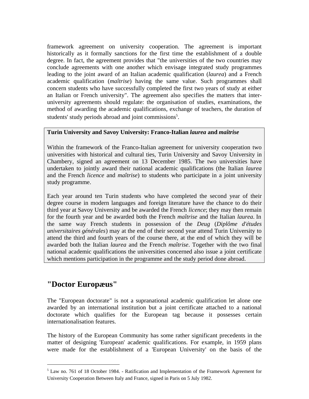framework agreement on university cooperation. The agreement is important historically as it formally sanctions for the first time the establishment of a double degree. In fact, the agreement provides that "the universities of the two countries may conclude agreements with one another which envisage integrated study programmes leading to the joint award of an Italian academic qualification (*laurea*) and a French academic qualification (*maîtrise*) having the same value. Such programmes shall concern students who have successfully completed the first two years of study at either an Italian or French university". The agreement also specifies the matters that interuniversity agreements should regulate: the organisation of studies, examinations, the method of awarding the academic qualifications, exchange of teachers, the duration of students' study periods abroad and joint commissions<sup>5</sup>.

### **Turin University and Savoy University: Franco-Italian** *laurea* **and** *maîtrise*

Within the framework of the Franco-Italian agreement for university cooperation two universities with historical and cultural ties, Turin University and Savoy University in Chambery, signed an agreement on 13 December 1985. The two universities have undertaken to jointly award their national academic qualifications (the Italian *laurea* and the French *licence* and *maîtrise*) to students who participate in a joint university study programme.

Each year around ten Turin students who have completed the second year of their degree course in modern languages and foreign literature have the chance to do their third year at Savoy University and be awarded the French *licence*; they may then remain for the fourth year and be awarded both the French *maîtrise* and the Italian *laurea*. In the same way French students in possession of the *Deug* (*Diplôme d'études universitaires générales*) may at the end of their second year attend Turin University to attend the third and fourth years of the course there, at the end of which they will be awarded both the Italian *laurea* and the French *maîtrise*. Together with the two final national academic qualifications the universities concerned also issue a joint certificate which mentions participation in the programme and the study period done abroad.

### **"Doctor Europæus"**

 $\overline{a}$ 

The "European doctorate" is not a supranational academic qualification let alone one awarded by an international institution but a joint certificate attached to a national doctorate which qualifies for the European tag because it possesses certain internationalisation features.

The history of the European Community has some rather significant precedents in the matter of designing 'European' academic qualifications. For example, in 1959 plans were made for the establishment of a 'European University' on the basis of the

<sup>&</sup>lt;sup>5</sup> Law no. 761 of 18 October 1984. - Ratification and Implementation of the Framework Agreement for University Cooperation Between Italy and France, signed in Paris on 5 July 1982.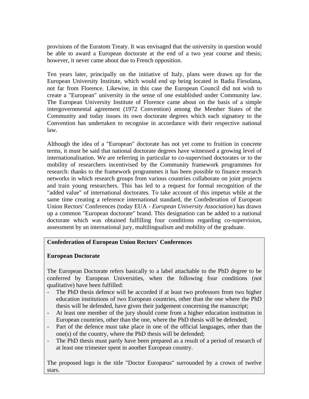provisions of the Euratom Treaty. It was envisaged that the university in question would be able to award a European doctorate at the end of a two year course and thesis; however, it never came about due to French opposition.

Ten years later, principally on the initiative of Italy, plans were drawn up for the European University Institute, which would end up being located in Badia Fiesolana, not far from Florence. Likewise, in this case the European Council did not wish to create a "European" university in the sense of one established under Community law. The European University Institute of Florence came about on the basis of a simple intergovernmental agreement (1972 Convention) among the Member States of the Community and today issues its own doctorate degrees which each signatory to the Convention has undertaken to recognise in accordance with their respective national law.

Although the idea of a "European" doctorate has not yet come to fruition in concrete terms, it must be said that national doctorate degrees have witnessed a growing level of internationalisation. We are referring in particular to co-supervised doctorates or to the mobility of researchers incentivised by the Community framework programmes for research: thanks to the framework programmes it has been possible to finance research networks in which research groups from various countries collaborate on joint projects and train young researchers. This has led to a request for formal recognition of the "added value" of international doctorates. To take account of this impetus while at the same time creating a reference international standard, the Confederation of European Union Rectors' Conferences (today EUA - *European University Association*) has drawn up a common "European doctorate" brand. This designation can be added to a national doctorate which was obtained fulfilling four conditions regarding co-supervision, assessment by an international jury, multilingualism and mobility of the graduate.

### **Confederation of European Union Rectors' Conferences**

#### **European Doctorate**

The European Doctorate refers basically to a label attachable to the PhD degree to be conferred by European Universities, when the following four conditions (not qualitative) have been fulfilled:

- The PhD thesis defence will be accorded if at least two professors from two higher education institutions of two European countries, other than the one where the PhD thesis will be defended, have given their judgement concerning the manuscript;
- At least one member of the jury should come from a higher education institution in European countries, other than the one, where the PhD thesis will be defended;
- Part of the defence must take place in one of the official languages, other than the one(s) of the country, where the PhD thesis will be defended;
- The PhD thesis must partly have been prepared as a result of a period of research of at least one trimester spent in another European country.

The proposed logo is the title "Doctor Europæus" surrounded by a crown of twelve stars.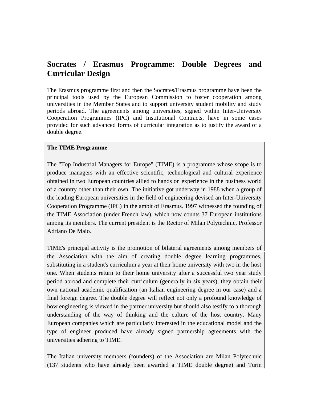# **Socrates / Erasmus Programme: Double Degrees and Curricular Design**

The Erasmus programme first and then the Socrates/Erasmus programme have been the principal tools used by the European Commission to foster cooperation among universities in the Member States and to support university student mobility and study periods abroad. The agreements among universities, signed within Inter-University Cooperation Programmes (IPC) and Institutional Contracts, have in some cases provided for such advanced forms of curricular integration as to justify the award of a double degree.

### **The TIME Programme**

The "Top Industrial Managers for Europe" (TIME) is a programme whose scope is to produce managers with an effective scientific, technological and cultural experience obtained in two European countries allied to hands on experience in the business world of a country other than their own. The initiative got underway in 1988 when a group of the leading European universities in the field of engineering devised an Inter-University Cooperation Programme (IPC) in the ambit of Erasmus. 1997 witnessed the founding of the TIME Association (under French law), which now counts 37 European institutions among its members. The current president is the Rector of Milan Polytechnic, Professor Adriano De Maio.

TIME's principal activity is the promotion of bilateral agreements among members of the Association with the aim of creating double degree learning programmes, substituting in a student's curriculum a year at their home university with two in the host one. When students return to their home university after a successful two year study period abroad and complete their curriculum (generally in six years), they obtain their own national academic qualification (an Italian engineering degree in our case) and a final foreign degree. The double degree will reflect not only a profound knowledge of how engineering is viewed in the partner university but should also testify to a thorough understanding of the way of thinking and the culture of the host country. Many European companies which are particularly interested in the educational model and the type of engineer produced have already signed partnership agreements with the universities adhering to TIME.

The Italian university members (founders) of the Association are Milan Polytechnic (137 students who have already been awarded a TIME double degree) and Turin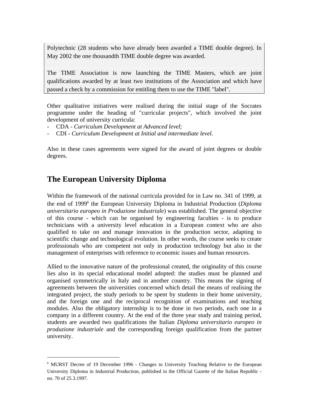Polytechnic (28 students who have already been awarded a TIME double degree). In May 2002 the one thousandth TIME double degree was awarded.

The TIME Association is now launching the TIME Masters, which are joint qualifications awarded by at least two institutions of the Association and which have passed a check by a commission for entitling them to use the TIME "label".

Other qualitative initiatives were realised during the initial stage of the Socrates programme under the heading of "curricular projects", which involved the joint development of university curricula:

- CDA *Curriculum Development at Advanced level*;
- CDI *Curriculum Development at Initial and intermediate level*.

Also in these cases agreements were signed for the award of joint degrees or double degrees.

# **The European University Diploma**

 $\overline{a}$ 

Within the framework of the national curricula provided for in Law no. 341 of 1999, at the end of 1999<sup>6</sup> the European University Diploma in Industrial Production (*Diploma universitario europeo in Produzione industriale*) was established. The general objective of this course - which can be organised by engineering faculties - is to produce technicians with a university level education in a European context who are also qualified to take on and manage innovation in the production sector, adapting to scientific change and technological evolution. In other words, the course seeks to create professionals who are competent not only in production technology but also in the management of enterprises with reference to economic issues and human resources.

Allied to the innovative nature of the professional created, the originality of this course lies also in its special educational model adopted: the studies must be planned and organised symmetrically in Italy and in another country. This means the signing of agreements between the universities concerned which detail the means of realising the integrated project, the study periods to be spent by students in their home university, and the foreign one and the reciprocal recognition of examinations and teaching modules. Also the obligatory internship is to be done in two periods, each one in a company in a different country. At the end of the three year study and training period, students are awarded two qualifications the Italian *Diploma universitario europeo in produzione industriale* and the corresponding foreign qualification from the partner university.

<sup>&</sup>lt;sup>6</sup> MURST Decree of 19 December 1996 - Changes to University Teaching Relative to the European University Diploma in Industrial Production, published in the Official Gazette of the Italian Republic no. 70 of 25.3.1997.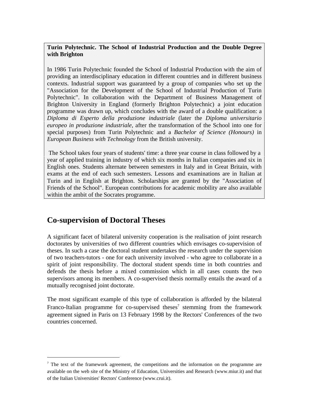### **Turin Polytechnic. The School of Industrial Production and the Double Degree with Brighton**

In 1986 Turin Polytechnic founded the School of Industrial Production with the aim of providing an interdisciplinary education in different countries and in different business contexts. Industrial support was guaranteed by a group of companies who set up the "Association for the Development of the School of Industrial Production of Turin Polytechnic". In collaboration with the Department of Business Management of Brighton University in England (formerly Brighton Polytechnic) a joint education programme was drawn up, which concludes with the award of a double qualification: a *Diploma di Esperto della produzione industriale* (later the *Diploma universitario europeo in produzione industriale*, after the transformation of the School into one for special purposes) from Turin Polytechnic and a *Bachelor of Science (Honours)* in *European Business with Technology* from the British university.

 The School takes four years of students' time: a three year course in class followed by a year of applied training in industry of which six months in Italian companies and six in English ones. Students alternate between semesters in Italy and in Great Britain, with exams at the end of each such semesters. Lessons and examinations are in Italian at Turin and in English at Brighton. Scholarships are granted by the "Association of Friends of the School". European contributions for academic mobility are also available within the ambit of the Socrates programme.

# **Co-supervision of Doctoral Theses**

 $\overline{a}$ 

A significant facet of bilateral university cooperation is the realisation of joint research doctorates by universities of two different countries which envisages co-supervision of theses. In such a case the doctoral student undertakes the research under the supervision of two teachers-tutors - one for each university involved - who agree to collaborate in a spirit of joint responsibility. The doctoral student spends time in both countries and defends the thesis before a mixed commission which in all cases counts the two supervisors among its members. A co-supervised thesis normally entails the award of a mutually recognised joint doctorate.

The most significant example of this type of collaboration is afforded by the bilateral Franco-Italian programme for co-supervised theses<sup>7</sup> stemming from the framework agreement signed in Paris on 13 February 1998 by the Rectors' Conferences of the two countries concerned.

 $<sup>7</sup>$  The text of the framework agreement, the competitions and the information on the programme are</sup> available on the web site of the Ministry of Education, Universities and Research (www.miur.it) and that of the Italian Universities' Rectors' Conference (www.crui.it).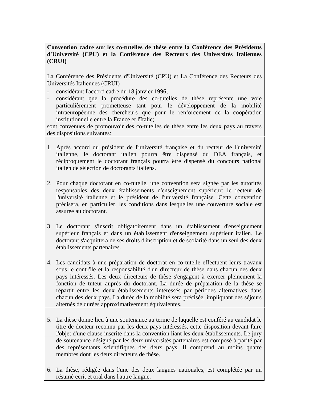**Convention cadre sur les co-tutelles de thèse entre la Conférence des Présidents d'Université (CPU) et la Conférence des Recteurs des Universités Italiennes (CRUI)**

La Conférence des Présidents d'Université (CPU) et La Conférence des Recteurs des Universités Italiennes (CRUI)

- considérant l'accord cadre du 18 janvier 1996;
- considérant que la procédure des co-tutelles de thèse représente une voie particulièrement prometteuse tant pour le développement de la mobilité intraeuropéenne des chercheurs que pour le renforcement de la coopération institutionnelle entre la France et l'Italie;

sont convenues de promouvoir des co-tutelles de thèse entre les deux pays au travers des dispositions suivantes:

- 1. Après accord du président de l'université française et du recteur de l'université italienne, le doctorant italien pourra être dispensé du DEA français, et réciproquement le doctorant français pourra être dispensé du concours national italien de sélection de doctorants italiens.
- 2. Pour chaque doctorant en co-tutelle, une convention sera signée par les autorités responsables des deux établissements d'enseignement supérieur: le recteur de l'université italienne et le président de l'université française. Cette convention précisera, en particulier, les conditions dans lesquelles une couverture sociale est assurée au doctorant.
- 3. Le doctorant s'inscrit obligatoirement dans un ètablissement d'enseignement supérieur français et dans un établissement d'enseignement supérieur italien. Le doctorant s'acquittera de ses droits d'inscription et de scolarité dans un seul des deux établissements partenaires.
- 4. Les candidats à une préparation de doctorat en co-tutelle effectuent leurs travaux sous le contrôle et la responsabilité d'un directeur de thèse dans chacun des deux pays intéressés. Les deux directeurs de thèse s'engagent à exercer pleinement la fonction de tuteur auprès du doctorant. La durée de préparation de la thèse se répartit entre les deux êtablissements intéressés par périodes alternatives dans chacun des deux pays. La durée de la mobilité sera précisée, impliquant des séjours alternés de durées approximativement équivalentes.
- 5. La thèse donne lieu à une soutenance au terme de laquelle est conféré au candidat le titre de docteur reconnu par les deux pays intéressés, cette disposition devant faire l'objet d'une clause inscrite dans la convention liant les deux ètablissements. Le jury de soutenance désigné par les deux universités partenaires est composé à parité par des représentants scientifiques des deux pays. Il comprend au moins quatre membres dont les deux directeurs de thèse.
- 6. La thèse, rédigée dans l'une des deux langues nationales, est complétée par un résumé ecrit et oral dans l'autre langue.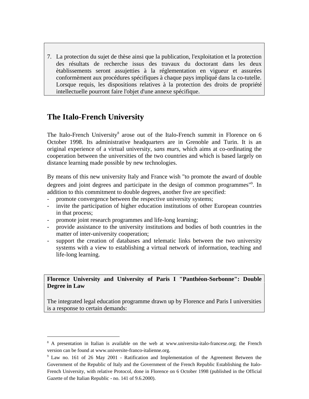7. La protection du sujet de thèse ainsi que la publication, l'exploitation et la protection des résultats de recherche issus des travaux du doctorant dans les deux ètablissements seront assujetties à la réglementation en vigueur et assurées conformèment aux procédures spécifiques à chaque pays impliqué dans la co-tutelle. Lorsque requis, les dispositions relatives à la protection des droits de propriété intellectuelle pourront faire l'objet d'une annexe spécifique.

# **The Italo-French University**

 $\overline{a}$ 

The Italo-French University<sup>8</sup> arose out of the Italo-French summit in Florence on 6 October 1998. Its administrative headquarters are in Grenoble and Turin. It is an original experience of a virtual university, *sans murs*, which aims at co-ordinating the cooperation between the universities of the two countries and which is based largely on distance learning made possible by new technologies.

By means of this new university Italy and France wish "to promote the award of double degrees and joint degrees and participate in the design of common programmes"<sup>9</sup>. In addition to this commitment to double degrees, another five are specified:

- promote convergence between the respective university systems;
- invite the participation of higher education institutions of other European countries in that process;
- promote joint research programmes and life-long learning;
- provide assistance to the university institutions and bodies of both countries in the matter of inter-university cooperation;
- support the creation of databases and telematic links between the two university systems with a view to establishing a virtual network of information, teaching and life-long learning.

**Florence University and University of Paris I "Panthéon-Sorbonne": Double Degree in Law**

The integrated legal education programme drawn up by Florence and Paris I universities is a response to certain demands:

<sup>&</sup>lt;sup>8</sup> A presentation in Italian is available on the web at www.universita-italo-francese.org; the French version can be found at www.universite-franco-italienne.org.

<sup>&</sup>lt;sup>9</sup> Law no. 161 of 26 May 2001 - Ratification and Implementation of the Agreement Between the Government of the Republic of Italy and the Government of the French Republic Establishing the Italo-French University, with relative Protocol, done in Florence on 6 October 1998 (published in the Official Gazette of the Italian Republic - no. 141 of 9.6.2000).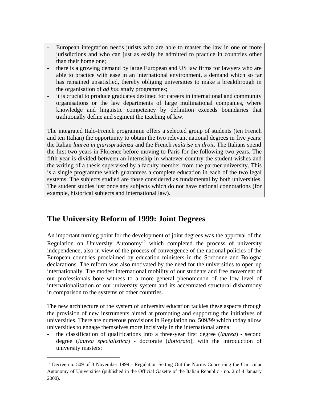- European integration needs jurists who are able to master the law in one or more jurisdictions and who can just as easily be admitted to practice in countries other than their home one;
- there is a growing demand by large European and US law firms for lawyers who are able to practice with ease in an international environment, a demand which so far has remained unsatisfied, thereby obliging universities to make a breakthrough in the organisation of *ad hoc* study programmes;
- it is crucial to produce graduates destined for careers in international and community organisations or the law departments of large multinational companies, where knowledge and linguistic competency by definition exceeds boundaries that traditionally define and segment the teaching of law.

The integrated Italo-French programme offers a selected group of students (ten French and ten Italian) the opportunity to obtain the two relevant national degrees in five years: the Italian *laurea in giurisprudenza* and the French *maîtrise en droit*. The Italians spend the first two years in Florence before moving to Paris for the following two years. The fifth year is divided between an internship in whatever country the student wishes and the writing of a thesis supervised by a faculty member from the partner university. This is a single programme which guarantees a complete education in each of the two legal systems. The subjects studied are those considered as fundamental by both universities. The student studies just once any subjects which do not have national connotations (for example, historical subjects and international law).

# **The University Reform of 1999: Joint Degrees**

 $\overline{a}$ 

An important turning point for the development of joint degrees was the approval of the Regulation on University Autonomy<sup>10</sup> which completed the process of university independence, also in view of the process of convergence of the national policies of the European countries proclaimed by education ministers in the Sorbonne and Bologna declarations. The reform was also motivated by the need for the universities to open up internationally. The modest international mobility of our students and free movement of our professionals bore witness to a more general phenomenon of the low level of internationalisation of our university system and its accentuated structural disharmony in comparison to the systems of other countries.

The new architecture of the system of university education tackles these aspects through the provision of new instruments aimed at promoting and supporting the initiatives of universities. There are numerous provisions in Regulation no. 509/99 which today allow universities to engage themselves more incisively in the international arena:

- the classification of qualifications into a three-year first degree (*laurea*) - second degree (*laurea specialistica*) - doctorate (*dottorato*), with the introduction of university masters;

<sup>&</sup>lt;sup>10</sup> Decree no. 509 of 3 November 1999 - Regulation Setting Out the Norms Concerning the Curricular Autonomy of Universities (published in the Official Gazette of the Italian Republic - no. 2 of 4 January 2000).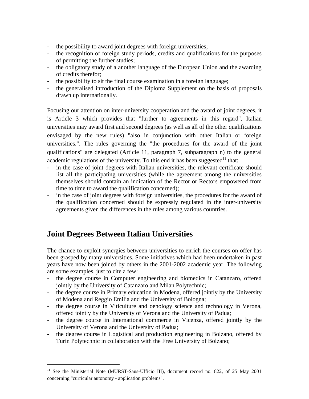- the possibility to award joint degrees with foreign universities;
- the recognition of foreign study periods, credits and qualifications for the purposes of permitting the further studies;
- the obligatory study of a another language of the European Union and the awarding of credits therefor;
- the possibility to sit the final course examination in a foreign language;
- the generalised introduction of the Diploma Supplement on the basis of proposals drawn up internationally.

Focusing our attention on inter-university cooperation and the award of joint degrees, it is Article 3 which provides that "further to agreements in this regard", Italian universities may award first and second degrees (as well as all of the other qualifications envisaged by the new rules) "also in conjunction with other Italian or foreign universities.". The rules governing the "the procedures for the award of the joint qualifications" are delegated (Article 11, paragraph 7, subparagraph n) to the general academic regulations of the university. To this end it has been suggested<sup>11</sup> that:

- in the case of joint degrees with Italian universities, the relevant certificate should list all the participating universities (while the agreement among the universities themselves should contain an indication of the Rector or Rectors empowered from time to time to award the qualification concerned);
- in the case of joint degrees with foreign universities, the procedures for the award of the qualification concerned should be expressly regulated in the inter-university agreements given the differences in the rules among various countries.

# **Joint Degrees Between Italian Universities**

 $\overline{a}$ 

The chance to exploit synergies between universities to enrich the courses on offer has been grasped by many universities. Some initiatives which had been undertaken in past years have now been joined by others in the 2001-2002 academic year. The following are some examples, just to cite a few:

- the degree course in Computer engineering and biomedics in Catanzaro, offered jointly by the University of Catanzaro and Milan Polytechnic;
- the degree course in Primary education in Modena, offered jointly by the University of Modena and Reggio Emilia and the University of Bologna;
- the degree course in Viticulture and oenology science and technology in Verona, offered jointly by the University of Verona and the University of Padua;
- the degree course in International commerce in Vicenza, offered jointly by the University of Verona and the University of Padua;
- the degree course in Logistical and production engineering in Bolzano, offered by Turin Polytechnic in collaboration with the Free University of Bolzano;

<sup>&</sup>lt;sup>11</sup> See the Ministerial Note (MURST-Saus-Ufficio III), document record no. 822, of 25 May 2001 concerning "curricular autonomy - application problems".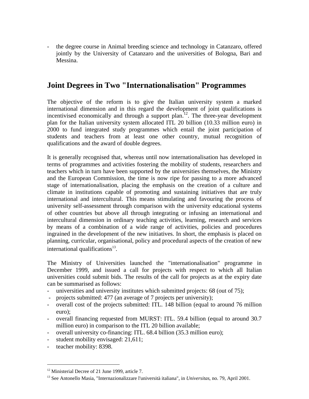- the degree course in Animal breeding science and technology in Catanzaro, offered jointly by the University of Catanzaro and the universities of Bologna, Bari and Messina.

# **Joint Degrees in Two "Internationalisation" Programmes**

The objective of the reform is to give the Italian university system a marked international dimension and in this regard the development of joint qualifications is incentivised economically and through a support plan.<sup>12</sup>. The three-year development plan for the Italian university system allocated ITL 20 billion (10.33 million euro) in 2000 to fund integrated study programmes which entail the joint participation of students and teachers from at least one other country, mutual recognition of qualifications and the award of double degrees.

It is generally recognised that, whereas until now internationalisation has developed in terms of programmes and activities fostering the mobility of students, researchers and teachers which in turn have been supported by the universities themselves, the Ministry and the European Commission, the time is now ripe for passing to a more advanced stage of internationalisation, placing the emphasis on the creation of a culture and climate in institutions capable of promoting and sustaining initiatives that are truly international and intercultural. This means stimulating and favouring the process of university self-assessment through comparison with the university educational systems of other countries but above all through integrating or infusing an international and intercultural dimension in ordinary teaching activities, learning, research and services by means of a combination of a wide range of activities, policies and procedures ingrained in the development of the new initiatives. In short, the emphasis is placed on planning, curricular, organisational, policy and procedural aspects of the creation of new international qualifications<sup>13</sup>.

The Ministry of Universities launched the "internationalisation" programme in December 1999, and issued a call for projects with respect to which all Italian universities could submit bids. The results of the call for projects as at the expiry date can be summarised as follows:

- universities and university institutes which submitted projects: 68 (out of 75);
- projects submitted: 477 (an average of 7 projects per university);
- overall cost of the projects submitted: ITL. 148 billion (equal to around 76 million euro);
- overall financing requested from MURST: ITL. 59.4 billion (equal to around 30.7) million euro) in comparison to the ITL 20 billion available;
- overall university co-financing: ITL. 68.4 billion (35.3 million euro);
- student mobility envisaged: 21,611;
- teacher mobility: 8398.

 $\overline{a}$ 

<sup>&</sup>lt;sup>12</sup> Ministerial Decree of 21 June 1999, article 7.

<sup>13</sup> See Antonello Masia, "Internazionalizzare l'università italiana", in *Universitas*, no. 79, April 2001.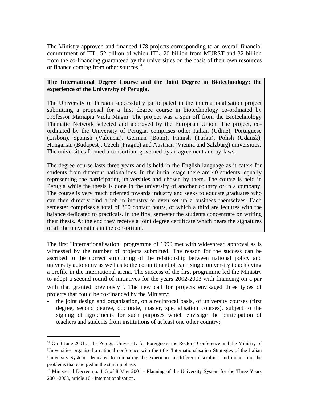The Ministry approved and financed 178 projects corresponding to an overall financial commitment of ITL. 52 billion of which ITL. 20 billion from MURST and 32 billion from the co-financing guaranteed by the universities on the basis of their own resources or finance coming from other sources $^{14}$ .

### **The International Degree Course and the Joint Degree in Biotechnology: the experience of the University of Perugia.**

The University of Perugia successfully participated in the internationalisation project submitting a proposal for a first degree course in biotechnology co-ordinated by Professor Mariapia Viola Magni. The project was a spin off from the Biotechnology Thematic Network selected and approved by the European Union. The project, coordinated by the University of Perugia, comprises other Italian (Udine), Portuguese (Lisbon), Spanish (Valencia), German (Bonn), Finnish (Turku), Polish (Gdansk), Hungarian (Budapest), Czech (Prague) and Austrian (Vienna and Salzburg) universities. The universities formed a consortium governed by an agreement and by-laws.

The degree course lasts three years and is held in the English language as it caters for students from different nationalities. In the initial stage there are 40 students, equally representing the participating universities and chosen by them. The course is held in Perugia while the thesis is done in the university of another country or in a company. The course is very much oriented towards industry and seeks to educate graduates who can then directly find a job in industry or even set up a business themselves. Each semester comprises a total of 300 contact hours, of which a third are lectures with the balance dedicated to practicals. In the final semester the students concentrate on writing their thesis. At the end they receive a joint degree certificate which bears the signatures of all the universities in the consortium.

The first "internationalisation" programme of 1999 met with widespread approval as is witnessed by the number of projects submitted. The reason for the success can be ascribed to the correct structuring of the relationship between national policy and university autonomy as well as to the commitment of each single university to achieving a profile in the international arena. The success of the first programme led the Ministry to adopt a second round of initiatives for the years 2002-2003 with financing on a par with that granted previously<sup>15</sup>. The new call for projects envisaged three types of projects that could be co-financed by the Ministry:

the joint design and organisation, on a reciprocal basis, of university courses (first degree, second degree, doctorate, master, specialisation courses), subject to the signing of agreements for such purposes which envisage the participation of teachers and students from institutions of at least one other country;

 $\overline{a}$ 

<sup>&</sup>lt;sup>14</sup> On 8 June 2001 at the Perugia University for Foreigners, the Rectors' Conference and the Ministry of Universities organised a national conference with the title "Internationalisation Strategies of the Italian University System" dedicated to comparing the experience in different disciplines and monitoring the problems that emerged in the start up phase.

<sup>&</sup>lt;sup>15</sup> Ministerial Decree no. 115 of 8 May 2001 - Planning of the University System for the Three Years 2001-2003, article 10 - Internationalisation.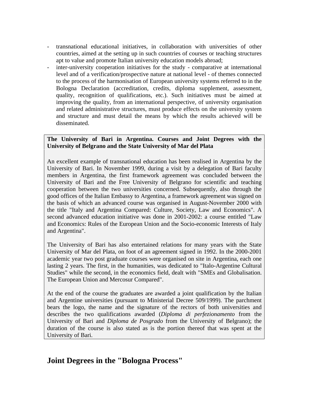- transnational educational initiatives, in collaboration with universities of other countries, aimed at the setting up in such countries of courses or teaching structures apt to value and promote Italian university education models abroad;
- inter-university cooperation initiatives for the study comparative at international level and of a verification/prospective nature at national level - of themes connected to the process of the harmonisation of European university systems referred to in the Bologna Declaration (accreditation, credits, diploma supplement, assessment, quality, recognition of qualifications, etc.). Such initiatives must be aimed at improving the quality, from an international perspective, of university organisation and related administrative structures, must produce effects on the university system and structure and must detail the means by which the results achieved will be disseminated.

### **The University of Bari in Argentina. Courses and Joint Degrees with the University of Belgrano and the State University of Mar del Plata**

An excellent example of transnational education has been realised in Argentina by the University of Bari. In November 1999, during a visit by a delegation of Bari faculty members in Argentina, the first framework agreement was concluded between the University of Bari and the Free University of Belgrano for scientific and teaching cooperation between the two universities concerned. Subsequently, also through the good offices of the Italian Embassy to Argentina, a framework agreement was signed on the basis of which an advanced course was organised in August-November 2000 with the title "Italy and Argentina Compared: Culture, Society, Law and Economics". A second advanced education initiative was done in 2001-2002: a course entitled "Law and Economics: Rules of the European Union and the Socio-economic Interests of Italy and Argentina".

The University of Bari has also entertained relations for many years with the State University of Mar del Plata, on foot of an agreement signed in 1992. In the 2000-2001 academic year two post graduate courses were organised on site in Argentina, each one lasting 2 years. The first, in the humanities, was dedicated to "Italo-Argentine Cultural Studies" while the second, in the economics field, dealt with "SMEs and Globalisation. The European Union and Mercosur Compared".

At the end of the course the graduates are awarded a joint qualification by the Italian and Argentine universities (pursuant to Ministerial Decree 509/1999). The parchment bears the logo, the name and the signature of the rectors of both universities and describes the two qualifications awarded (*Diploma di perfezionamento* from the University of Bari and *Diploma de Posgrado* from the University of Belgrano); the duration of the course is also stated as is the portion thereof that was spent at the University of Bari.

### **Joint Degrees in the "Bologna Process"**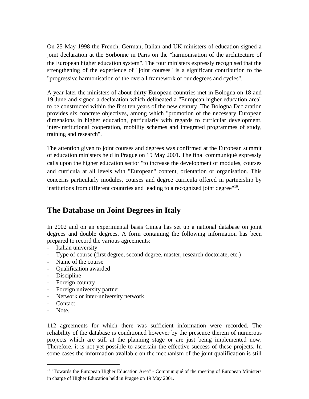On 25 May 1998 the French, German, Italian and UK ministers of education signed a joint declaration at the Sorbonne in Paris on the "harmonisation of the architecture of the European higher education system". The four ministers expressly recognised that the strengthening of the experience of "joint courses" is a significant contribution to the "progressive harmonisation of the overall framework of our degrees and cycles".

A year later the ministers of about thirty European countries met in Bologna on 18 and 19 June and signed a declaration which delineated a "European higher education area" to be constructed within the first ten years of the new century. The Bologna Declaration provides six concrete objectives, among which "promotion of the necessary European dimensions in higher education, particularly with regards to curricular development, inter-institutional cooperation, mobility schemes and integrated programmes of study, training and research".

The attention given to joint courses and degrees was confirmed at the European summit of education ministers held in Prague on 19 May 2001. The final communiqué expressly calls upon the higher education sector "to increase the development of modules, courses and curricula at all levels with "European" content, orientation or organisation. This concerns particularly modules, courses and degree curricula offered in partnership by institutions from different countries and leading to a recognized joint degree"<sup>16</sup>.

# **The Database on Joint Degrees in Italy**

In 2002 and on an experimental basis Cimea has set up a national database on joint degrees and double degrees. A form containing the following information has been prepared to record the various agreements:

- Italian university
- Type of course (first degree, second degree, master, research doctorate, etc.)
- Name of the course
- Qualification awarded
- Discipline
- Foreign country
- Foreign university partner
- Network or inter-university network
- Contact
- Note.

 $\overline{a}$ 

112 agreements for which there was sufficient information were recorded. The reliability of the database is conditioned however by the presence therein of numerous projects which are still at the planning stage or are just being implemented now. Therefore, it is not yet possible to ascertain the effective success of these projects. In some cases the information available on the mechanism of the joint qualification is still

<sup>&</sup>lt;sup>16</sup> "Towards the European Higher Education Area" - Communiqué of the meeting of European Ministers in charge of Higher Education held in Prague on 19 May 2001.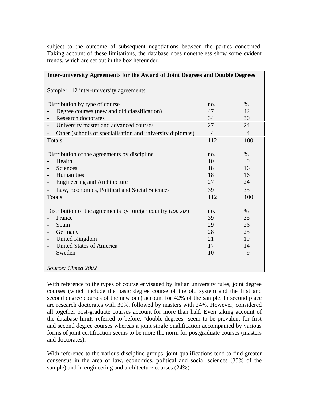subject to the outcome of subsequent negotiations between the parties concerned. Taking account of these limitations, the database does nonetheless show some evident trends, which are set out in the box hereunder.

| Inter-university Agreements for the Award of Joint Degrees and Double Degrees |                |                |  |  |
|-------------------------------------------------------------------------------|----------------|----------------|--|--|
| Sample: 112 inter-university agreements                                       |                |                |  |  |
| Distribution by type of course                                                | no.            | $\%$           |  |  |
| Degree courses (new and old classification)                                   | 47             | 42             |  |  |
| <b>Research doctorates</b>                                                    | 34             | 30             |  |  |
| University master and advanced courses                                        | 27             | 24             |  |  |
| Other (schools of specialisation and university diplomas)                     | $\overline{4}$ | $\overline{4}$ |  |  |
| Totals                                                                        | 112            | 100            |  |  |
|                                                                               |                |                |  |  |
| Distribution of the agreements by discipline                                  | no.            | $\%$           |  |  |
| Health                                                                        | 10             | 9              |  |  |
| Sciences                                                                      | 18             | 16             |  |  |
| Humanities                                                                    | 18             | 16             |  |  |
| Engineering and Architecture                                                  | 27             | 24             |  |  |
| Law, Economics, Political and Social Sciences<br>$\overline{\phantom{0}}$     | $\frac{39}{5}$ | 35             |  |  |
| Totals                                                                        | 112            | 100            |  |  |
|                                                                               |                |                |  |  |
| Distribution of the agreements by foreign country (top six)                   | no.            | %              |  |  |
| France                                                                        | 39             | 35             |  |  |
| Spain<br>-                                                                    | 29             | 26             |  |  |
| Germany                                                                       | 28             | 25             |  |  |
| United Kingdom<br>$\qquad \qquad -$                                           | 21             | 19             |  |  |
| <b>United States of America</b>                                               | 17             | 14             |  |  |
| Sweden                                                                        | 10             | 9              |  |  |
|                                                                               |                |                |  |  |
| Source: Cimea 2002                                                            |                |                |  |  |

With reference to the types of course envisaged by Italian university rules, joint degree courses (which include the basic degree course of the old system and the first and second degree courses of the new one) account for 42% of the sample. In second place are research doctorates with 30%, followed by masters with 24%. However, considered all together post-graduate courses account for more than half. Even taking account of the database limits referred to before, "double degrees" seem to be prevalent for first and second degree courses whereas a joint single qualification accompanied by various forms of joint certification seems to be more the norm for postgraduate courses (masters and doctorates).

With reference to the various discipline groups, joint qualifications tend to find greater consensus in the area of law, economics, political and social sciences (35% of the sample) and in engineering and architecture courses (24%).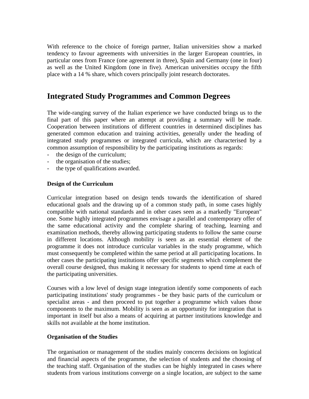With reference to the choice of foreign partner, Italian universities show a marked tendency to favour agreements with universities in the larger European countries, in particular ones from France (one agreement in three), Spain and Germany (one in four) as well as the United Kingdom (one in five). American universities occupy the fifth place with a 14 % share, which covers principally joint research doctorates.

### **Integrated Study Programmes and Common Degrees**

The wide-ranging survey of the Italian experience we have conducted brings us to the final part of this paper where an attempt at providing a summary will be made. Cooperation between institutions of different countries in determined disciplines has generated common education and training activities, generally under the heading of integrated study programmes or integrated curricula, which are characterised by a common assumption of responsibility by the participating institutions as regards:

- the design of the curriculum;
- the organisation of the studies;
- the type of qualifications awarded.

#### **Design of the Curriculum**

Curricular integration based on design tends towards the identification of shared educational goals and the drawing up of a common study path, in some cases highly compatible with national standards and in other cases seen as a markedly "European" one. Some highly integrated programmes envisage a parallel and contemporary offer of the same educational activity and the complete sharing of teaching, learning and examination methods, thereby allowing participating students to follow the same course in different locations. Although mobility is seen as an essential element of the programme it does not introduce curricular variables in the study programme, which must consequently be completed within the same period at all participating locations. In other cases the participating institutions offer specific segments which complement the overall course designed, thus making it necessary for students to spend time at each of the participating universities.

Courses with a low level of design stage integration identify some components of each participating institutions' study programmes - be they basic parts of the curriculum or specialist areas - and then proceed to put together a programme which values those components to the maximum. Mobility is seen as an opportunity for integration that is important in itself but also a means of acquiring at partner institutions knowledge and skills not available at the home institution.

#### **Organisation of the Studies**

The organisation or management of the studies mainly concerns decisions on logistical and financial aspects of the programme, the selection of students and the choosing of the teaching staff. Organisation of the studies can be highly integrated in cases where students from various institutions converge on a single location, are subject to the same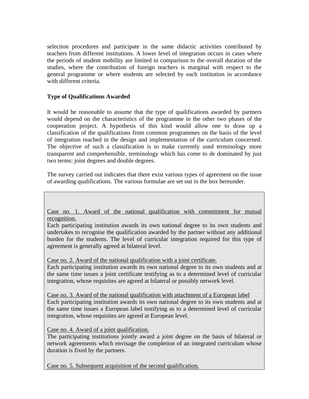selection procedures and participate in the same didactic activities contributed by teachers from different institutions. A lower level of integration occurs in cases where the periods of student mobility are limited in comparison to the overall duration of the studies, where the contribution of foreign teachers is marginal with respect to the general programme or where students are selected by each institution in accordance with different criteria.

### **Type of Qualifications Awarded**

It would be reasonable to assume that the type of qualifications awarded by partners would depend on the characteristics of the programme in the other two phases of the cooperation project. A hypothesis of this kind would allow one to draw up a classification of the qualifications from common programmes on the basis of the level of integration reached in the design and implementation of the curriculum concerned. The objective of such a classification is to make currently used terminology more transparent and comprehensible, terminology which has come to de dominated by just two terms: joint degrees and double degrees.

The survey carried out indicates that there exist various types of agreement on the issue of awarding qualifications. The various formulae are set out in the box hereunder.

Case no. 1. Award of the national qualification with commitment for mutual recognition.

Each participating institution awards its own national degree to its own students and undertakes to recognise the qualification awarded by the partner without any additional burden for the students. The level of curricular integration required for this type of agreement is generally agreed at bilateral level.

Case no. 2. Award of the national qualification with a joint certificate.

Each participating institution awards its own national degree to its own students and at the same time issues a joint certificate testifying as to a determined level of curricular integration, whose requisites are agreed at bilateral or possibly network level.

Case no. 3. Award of the national qualification with attachment of a European label Each participating institution awards its own national degree to its own students and at the same time issues a European label testifying as to a determined level of curricular integration, whose requisites are agreed at European level.

Case no. 4. Award of a joint qualification.

The participating institutions jointly award a joint degree on the basis of bilateral or network agreements which envisage the completion of an integrated curriculum whose duration is fixed by the partners.

Case no. 5. Subsequent acquisition of the second qualification.